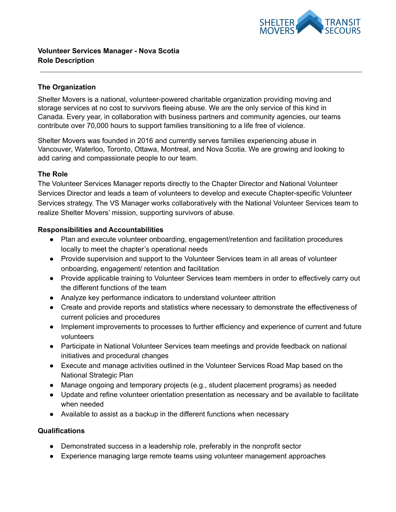

# **The Organization**

Shelter Movers is a national, volunteer-powered charitable organization providing moving and storage services at no cost to survivors fleeing abuse. We are the only service of this kind in Canada. Every year, in collaboration with business partners and community agencies, our teams contribute over 70,000 hours to support families transitioning to a life free of violence.

Shelter Movers was founded in 2016 and currently serves families experiencing abuse in Vancouver, Waterloo, Toronto, Ottawa, Montreal, and Nova Scotia. We are growing and looking to add caring and compassionate people to our team.

### **The Role**

The Volunteer Services Manager reports directly to the Chapter Director and National Volunteer Services Director and leads a team of volunteers to develop and execute Chapter-specific Volunteer Services strategy. The VS Manager works collaboratively with the National Volunteer Services team to realize Shelter Movers' mission, supporting survivors of abuse.

## **Responsibilities and Accountabilities**

- Plan and execute volunteer onboarding, engagement/retention and facilitation procedures locally to meet the chapter's operational needs
- Provide supervision and support to the Volunteer Services team in all areas of volunteer onboarding, engagement/ retention and facilitation
- Provide applicable training to Volunteer Services team members in order to effectively carry out the different functions of the team
- Analyze key performance indicators to understand volunteer attrition
- Create and provide reports and statistics where necessary to demonstrate the effectiveness of current policies and procedures
- Implement improvements to processes to further efficiency and experience of current and future volunteers
- Participate in National Volunteer Services team meetings and provide feedback on national initiatives and procedural changes
- Execute and manage activities outlined in the Volunteer Services Road Map based on the National Strategic Plan
- Manage ongoing and temporary projects (e.g., student placement programs) as needed
- Update and refine volunteer orientation presentation as necessary and be available to facilitate when needed
- Available to assist as a backup in the different functions when necessary

### **Qualifications**

- Demonstrated success in a leadership role, preferably in the nonprofit sector
- Experience managing large remote teams using volunteer management approaches